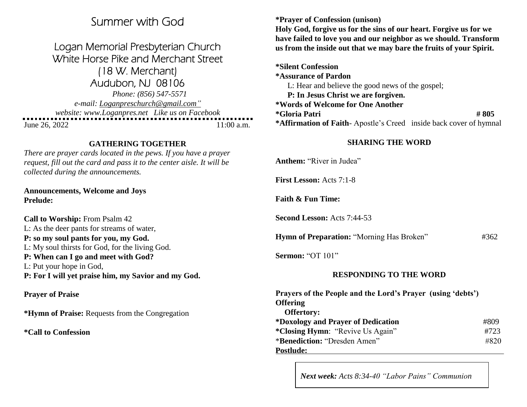# Summer with God

Logan Memorial Presbyterian Church White Horse Pike and Merchant Street (18 W. Merchant) Audubon, NJ 08106 *Phone: (856) 547-5571 e-mail: Loganpreschurch@gmail.com" website: www.Loganpres.net Like us on Facebook* 

June 26, 2022 11:00 a.m.

## **GATHERING TOGETHER**

*There are prayer cards located in the pews. If you have a prayer request, fill out the card and pass it to the center aisle. It will be collected during the announcements.*

**Announcements, Welcome and Joys Prelude:**

**Call to Worship:** From Psalm 42 L: As the deer pants for streams of water, **P: so my soul pants for you, my God.**  L: My soul thirsts for God, for the living God. **P: When can I go and meet with God?** L: Put your hope in God, **P: For I will yet praise him, my Savior and my God.**

## **Prayer of Praise**

**\*Hymn of Praise:** Requests from the Congregation

**\*Call to Confession**

**\*Prayer of Confession (unison)**

**Holy God, forgive us for the sins of our heart. Forgive us for we have failed to love you and our neighbor as we should. Transform us from the inside out that we may bare the fruits of your Spirit.**

**\*Silent Confession \*Assurance of Pardon** L: Hear and believe the good news of the gospel; **P: In Jesus Christ we are forgiven. \*Words of Welcome for One Another \*Gloria Patri # 805 \*Affirmation of Faith**- Apostle's Creed inside back cover of hymnal

## **SHARING THE WORD**

**Anthem:** "River in Judea"

**First Lesson:** Acts 7:1-8

**Faith & Fun Time:**

**Second Lesson:** Acts 7:44-53

**Hymn of Preparation: "Morning Has Broken"** #362

**Sermon:** "OT 101"

## **RESPONDING TO THE WORD**

| Prayers of the People and the Lord's Prayer (using 'debts') |      |
|-------------------------------------------------------------|------|
| <b>Offering</b>                                             |      |
| <b>Offertory:</b>                                           |      |
| *Doxology and Prayer of Dedication                          | #809 |
| <i>*Closing Hymn:</i> "Revive Us Again"                     | #723 |
| *Benediction: "Dresden Amen"                                | #820 |
| Postlude:                                                   |      |

*Next week: Acts 8:34-40 "Labor Pains" Communion*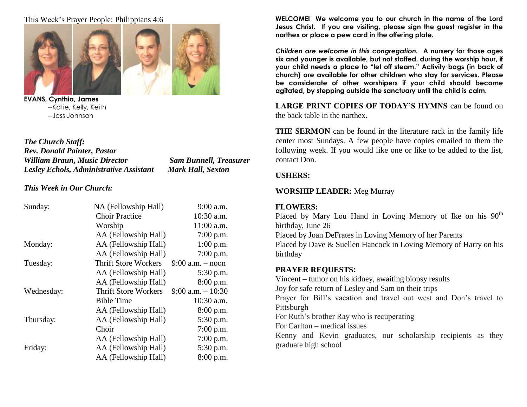This Week's Prayer People: Philippians 4:6



**EVANS, Cynthia, James** --Katie, Kelly, Keith --Jess Johnson

*The Church Staff: Rev. Donald Painter, Pastor William Braun, Music Director Sam Bunnell, Treasurer Lesley Echols, Administrative Assistant Mark Hall, Sexton*

*This Week in Our Church:*

| Sunday:    | NA (Fellowship Hall)        | $9:00$ a.m.          |
|------------|-----------------------------|----------------------|
|            | <b>Choir Practice</b>       | 10:30 a.m.           |
|            | Worship                     | 11:00 a.m.           |
|            | AA (Fellowship Hall)        | 7:00 p.m.            |
| Monday:    | AA (Fellowship Hall)        | 1:00 p.m.            |
|            | AA (Fellowship Hall)        | 7:00 p.m.            |
| Tuesday:   | <b>Thrift Store Workers</b> | $9:00$ a.m. $-$ noon |
|            | AA (Fellowship Hall)        | 5:30 p.m.            |
|            | AA (Fellowship Hall)        | 8:00 p.m.            |
| Wednesday: | <b>Thrift Store Workers</b> | $9:00$ a.m. $-10:30$ |
|            | <b>Bible Time</b>           | 10:30 a.m.           |
|            | AA (Fellowship Hall)        | 8:00 p.m.            |
| Thursday:  | AA (Fellowship Hall)        | 5:30 p.m.            |
|            | Choir                       | 7:00 p.m.            |
|            | AA (Fellowship Hall)        | 7:00 p.m.            |
| Friday:    | AA (Fellowship Hall)        | 5:30 p.m.            |
|            | AA (Fellowship Hall)        | 8:00 p.m.            |

**WELCOME! We welcome you to our church in the name of the Lord Jesus Christ. If you are visiting, please sign the guest register in the narthex or place a pew card in the offering plate.** 

*Children are welcome in this congregation.* **A nursery for those ages six and younger is available, but not staffed, during the worship hour, if your child needs a place to "let off steam." Activity bags (in back of church) are available for other children who stay for services. Please be considerate of other worshipers if your child should become agitated, by stepping outside the sanctuary until the child is calm.**

LARGE PRINT COPIES OF TODAY'S HYMNS can be found on the back table in the narthex.

**THE SERMON** can be found in the literature rack in the family life center most Sundays. A few people have copies emailed to them the following week. If you would like one or like to be added to the list, contact Don.

#### **USHERS:**

## **WORSHIP LEADER:** Meg Murray

#### **FLOWERS:**

Placed by Mary Lou Hand in Loving Memory of Ike on his  $90<sup>th</sup>$ birthday, June 26

Placed by Joan DeFrates in Loving Memory of her Parents

Placed by Dave & Suellen Hancock in Loving Memory of Harry on his birthday

## **PRAYER REQUESTS:**

Vincent – tumor on his kidney, awaiting biopsy results Joy for safe return of Lesley and Sam on their trips Prayer for Bill's vacation and travel out west and Don's travel to Pittsburgh For Ruth's brother Ray who is recuperating

For Carlton – medical issues

Kenny and Kevin graduates, our scholarship recipients as they graduate high school